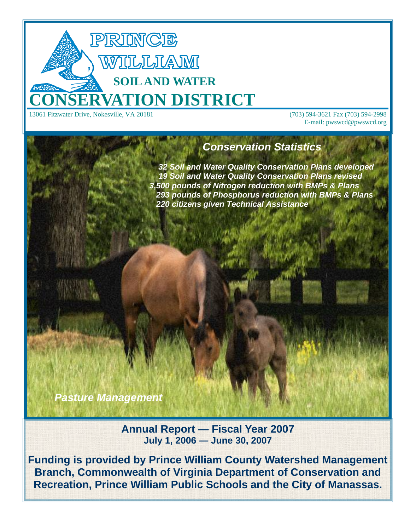

E-mail: pwswcd@pwswcd.org

# *Conservation Statistics*

 *32 Soil and Water Quality Conservation Plans developed 19 Soil and Water Quality Conservation Plans revised 3,500 pounds of Nitrogen reduction with BMPs & Plans 293 pounds of Phosphorus reduction with BMPs & Plans 220 citizens given Technical Assistance* 

*Pasture Management* 

**Annual Report — Fiscal Year 2007 July 1, 2006 — June 30, 2007** 

**Funding is provided by Prince William County Watershed Management Branch, Commonwealth of Virginia Department of Conservation and Recreation, Prince William Public Schools and the City of Manassas.**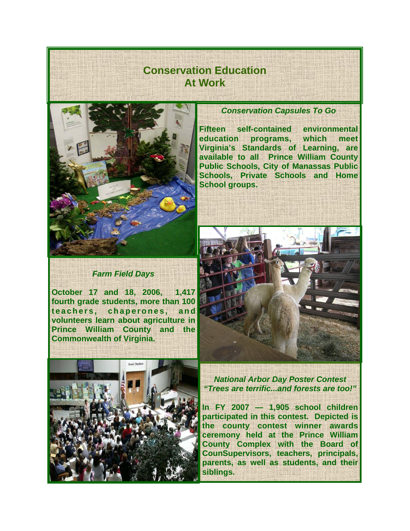# **Conservation Education At Work**



### *Farm Field Days*

**October 17 and 18, 2006, 1,417 fourth grade students, more than 100**  teachers, chaperones, and **volunteers learn about agriculture in Prince William County and the Commonwealth of Virginia.**



### *Conservation Capsules To Go*

**Fifteen self-contained environmental education programs, which meet Virginia's Standards of Learning, are available to all Prince William County Public Schools, City of Manassas Public Schools, Private Schools and Home School groups.** 



*National Arbor Day Poster Contest "Trees are terrific...and forests are too!"* 

**In FY 2007 — 1,905 school children participated in this contest. Depicted is the county contest winner awards ceremony held at the Prince William County Complex with the Board of CounSupervisors, teachers, principals, parents, as well as students, and their siblings.**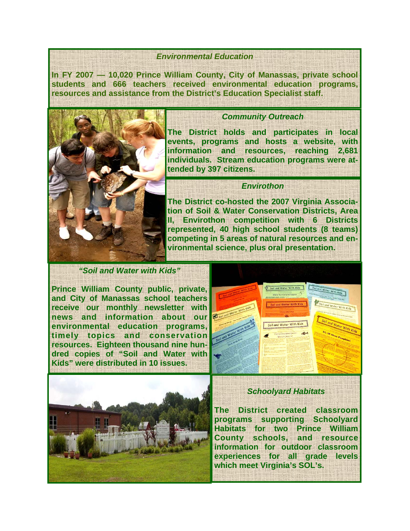#### *Environmental Education*

**In FY 2007 — 10,020 Prince William County, City of Manassas, private school students and 666 teachers received environmental education programs, resources and assistance from the District's Education Specialist staff.** 



### *Community Outreach*

**The District holds and participates in local events, programs and hosts a website, with information and resources, reaching 2,681 individuals. Stream education programs were attended by 397 citizens.** 

### *Envirothon*

**The District co-hosted the 2007 Virginia Association of Soil & Water Conservation Districts, Area II, Envirothon competition with 6 Districts represented, 40 high school students (8 teams) competing in 5 areas of natural resources and environmental science, plus oral presentation.** 

### *"Soil and Water with Kids"*

**Prince William County public, private, and City of Manassas school teachers receive our monthly newsletter with news and information about our environmental education programs, timely topics and conservation resources. Eighteen thousand nine hundred copies of "Soil and Water with Kids" were distributed in 10 issues.** 





### *Schoolyard Habitats*

**The District created classroom programs supporting Schoolyard Habitats for two Prince William County schools, and resource information for outdoor classroom experiences for all grade levels which meet Virginia's SOL's.**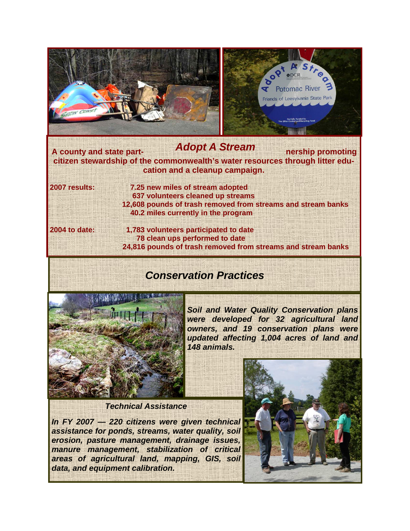

## **A county and state part- nership promoting citizen stewardship of the commonwealth's water resources through litter education and a cleanup campaign. 2007 results: 7.25 new miles of stream adopted**  *Adopt A Stream*

 **637 volunteers cleaned up streams 12,608 pounds of trash removed from streams and stream banks 40.2 miles currently in the program** 

**2004 to date: 1,783 volunteers participated to date 78 clean ups performed to date 24,816 pounds of trash removed from streams and stream banks** 

# *Conservation Practices*



*Soil and Water Quality Conservation plans were developed for 32 agricultural land owners, and 19 conservation plans were updated affecting 1,004 acres of land and 148 animals.* 

*Technical Assistance* 

*In FY 2007 — 220 citizens were given technical assistance for ponds, streams, water quality, soil erosion, pasture management, drainage issues, manure management, stabilization of critical areas of agricultural land, mapping, GIS, soil data, and equipment calibration.* 

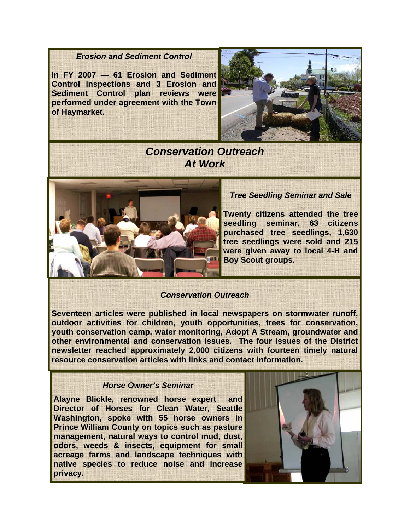### *Erosion and Sediment Control*

**In FY 2007 — 61 Erosion and Sediment Control inspections and 3 Erosion and Sediment Control plan reviews were performed under agreement with the Town of Haymarket.** 



## *Conservation Outreach At Work*



### *Tree Seedling Seminar and Sale*

**Twenty citizens attended the tree seedling seminar, 63 citizens purchased tree seedlings, 1,630 tree seedlings were sold and 215 were given away to local 4-H and Boy Scout groups.** 

### *Conservation Outreach*

**Seventeen articles were published in local newspapers on stormwater runoff, outdoor activities for children, youth opportunities, trees for conservation, youth conservation camp, water monitoring, Adopt A Stream, groundwater and other environmental and conservation issues. The four issues of the District newsletter reached approximately 2,000 citizens with fourteen timely natural resource conservation articles with links and contact information.** 

### *Horse Owner's Seminar*

**Alayne Blickle, renowned horse expert and Director of Horses for Clean Water, Seattle Washington, spoke with 55 horse owners in Prince William County on topics such as pasture management, natural ways to control mud, dust, odors, weeds & insects, equipment for small acreage farms and landscape techniques with native species to reduce noise and increase privacy.**